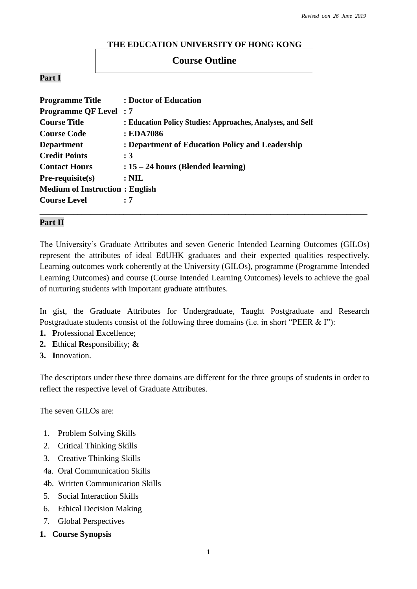### **THE EDUCATION UNIVERSITY OF HONG KONG**

## **Course Outline**

### **Part I**

| <b>Programme Title</b>                | : Doctor of Education                                      |
|---------------------------------------|------------------------------------------------------------|
| <b>Programme QF Level: 7</b>          |                                                            |
| <b>Course Title</b>                   | : Education Policy Studies: Approaches, Analyses, and Self |
| <b>Course Code</b>                    | : EDA7086                                                  |
| <b>Department</b>                     | : Department of Education Policy and Leadership            |
| <b>Credit Points</b>                  | :3                                                         |
| <b>Contact Hours</b>                  | $: 15 - 24$ hours (Blended learning)                       |
| $Pre-requisite(s)$                    | $: \mathbf{NIL}$                                           |
| <b>Medium of Instruction: English</b> |                                                            |
| <b>Course Level</b>                   | : 7                                                        |
|                                       |                                                            |

## **Part II**

The University's Graduate Attributes and seven Generic Intended Learning Outcomes (GILOs) represent the attributes of ideal EdUHK graduates and their expected qualities respectively. Learning outcomes work coherently at the University (GILOs), programme (Programme Intended Learning Outcomes) and course (Course Intended Learning Outcomes) levels to achieve the goal of nurturing students with important graduate attributes.

In gist, the Graduate Attributes for Undergraduate, Taught Postgraduate and Research Postgraduate students consist of the following three domains (i.e. in short "PEER & I"):

- **1. P**rofessional **E**xcellence;
- **2. E**thical **R**esponsibility; **&**
- **3. I**nnovation.

The descriptors under these three domains are different for the three groups of students in order to reflect the respective level of Graduate Attributes.

The seven GILOs are:

- 1. Problem Solving Skills
- 2. Critical Thinking Skills
- 3. Creative Thinking Skills
- 4a. Oral Communication Skills
- 4b. Written Communication Skills
- 5. Social Interaction Skills
- 6. Ethical Decision Making
- 7. Global Perspectives
- **1. Course Synopsis**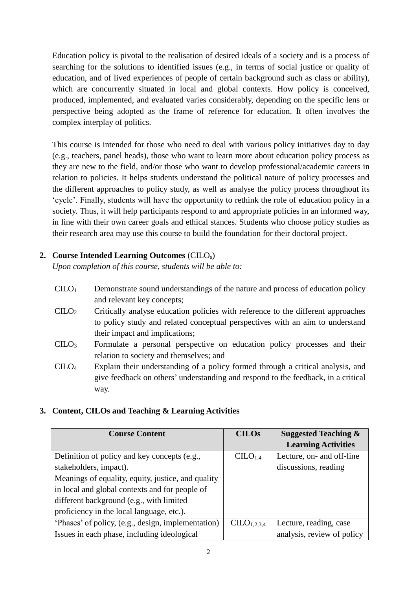Education policy is pivotal to the realisation of desired ideals of a society and is a process of searching for the solutions to identified issues (e.g., in terms of social justice or quality of education, and of lived experiences of people of certain background such as class or ability), which are concurrently situated in local and global contexts. How policy is conceived, produced, implemented, and evaluated varies considerably, depending on the specific lens or perspective being adopted as the frame of reference for education. It often involves the complex interplay of politics.

This course is intended for those who need to deal with various policy initiatives day to day (e.g., teachers, panel heads), those who want to learn more about education policy process as they are new to the field, and/or those who want to develop professional/academic careers in relation to policies. It helps students understand the political nature of policy processes and the different approaches to policy study, as well as analyse the policy process throughout its 'cycle'. Finally, students will have the opportunity to rethink the role of education policy in a society. Thus, it will help participants respond to and appropriate policies in an informed way, in line with their own career goals and ethical stances. Students who choose policy studies as their research area may use this course to build the foundation for their doctoral project.

## **2. Course Intended Learning Outcomes** (CILOs)

*Upon completion of this course, students will be able to:*

- $C I L O<sub>1</sub>$  Demonstrate sound understandings of the nature and process of education policy and relevant key concepts;
- $\text{CHO}_2$  Critically analyse education policies with reference to the different approaches to policy study and related conceptual perspectives with an aim to understand their impact and implications;
- $CILO<sub>3</sub>$ Formulate a personal perspective on education policy processes and their relation to society and themselves; and
- CILO<sup>4</sup> Explain their understanding of a policy formed through a critical analysis, and give feedback on others' understanding and respond to the feedback, in a critical way.

## **3. Content, CILOs and Teaching & Learning Activities**

| <b>Course Content</b>                              | <b>CILOs</b>            | <b>Suggested Teaching &amp;</b> |
|----------------------------------------------------|-------------------------|---------------------------------|
|                                                    |                         | <b>Learning Activities</b>      |
| Definition of policy and key concepts (e.g.,       | CILO <sub>1,4</sub>     | Lecture, on- and off-line       |
| stakeholders, impact).                             |                         | discussions, reading            |
| Meanings of equality, equity, justice, and quality |                         |                                 |
| in local and global contexts and for people of     |                         |                                 |
| different background (e.g., with limited           |                         |                                 |
| proficiency in the local language, etc.).          |                         |                                 |
| 'Phases' of policy, (e.g., design, implementation) | CILO <sub>1,2,3,4</sub> | Lecture, reading, case          |
| Issues in each phase, including ideological        |                         | analysis, review of policy      |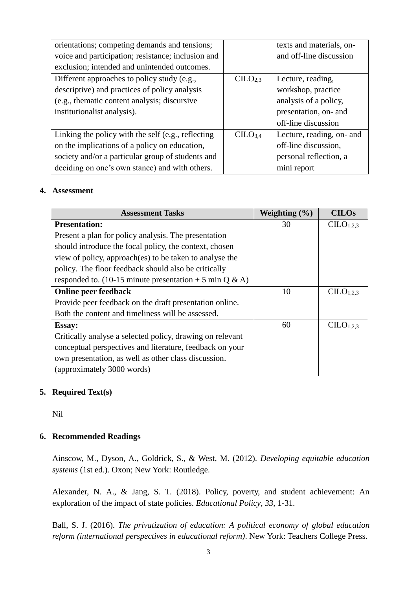| orientations; competing demands and tensions;      |                     | texts and materials, on-  |
|----------------------------------------------------|---------------------|---------------------------|
| voice and participation; resistance; inclusion and |                     | and off-line discussion   |
| exclusion; intended and unintended outcomes.       |                     |                           |
| Different approaches to policy study (e.g.,        | CLLO <sub>2.3</sub> | Lecture, reading,         |
| descriptive) and practices of policy analysis      |                     | workshop, practice        |
| (e.g., thematic content analysis; discursive       |                     | analysis of a policy,     |
| institutionalist analysis).                        |                     | presentation, on- and     |
|                                                    |                     | off-line discussion       |
| Linking the policy with the self (e.g., reflecting | CILO <sub>3.4</sub> | Lecture, reading, on- and |
| on the implications of a policy on education,      |                     | off-line discussion,      |
| society and/or a particular group of students and  |                     | personal reflection, a    |
| deciding on one's own stance) and with others.     |                     | mini report               |

#### **4. Assessment**

| <b>Assessment Tasks</b>                                   | Weighting $(\% )$ | <b>CILOs</b>                      |
|-----------------------------------------------------------|-------------------|-----------------------------------|
| <b>Presentation:</b>                                      | 30                | CLLO <sub>1,2,3</sub>             |
| Present a plan for policy analysis. The presentation      |                   |                                   |
| should introduce the focal policy, the context, chosen    |                   |                                   |
| view of policy, approach(es) to be taken to analyse the   |                   |                                   |
| policy. The floor feedback should also be critically      |                   |                                   |
| responded to. (10-15 minute presentation $+$ 5 min Q & A) |                   |                                   |
| <b>Online peer feedback</b>                               | 10                | CLLO <sub>1.2.3</sub>             |
| Provide peer feedback on the draft presentation online.   |                   |                                   |
| Both the content and timeliness will be assessed.         |                   |                                   |
| <b>Essay:</b>                                             | 60                | C <sub>L</sub> O <sub>1.2.3</sub> |
| Critically analyse a selected policy, drawing on relevant |                   |                                   |
| conceptual perspectives and literature, feedback on your  |                   |                                   |
| own presentation, as well as other class discussion.      |                   |                                   |
| (approximately 3000 words)                                |                   |                                   |

### **5. Required Text(s)**

Nil

### **6. Recommended Readings**

Ainscow, M., Dyson, A., Goldrick, S., & West, M. (2012). *Developing equitable education systems* (1st ed.). Oxon; New York: Routledge.

Alexander, N. A., & Jang, S. T. (2018). Policy, poverty, and student achievement: An exploration of the impact of state policies. *Educational Policy*, *33*, 1-31.

Ball, S. J. (2016). *The privatization of education: A political economy of global education reform (international perspectives in educational reform)*. New York: Teachers College Press.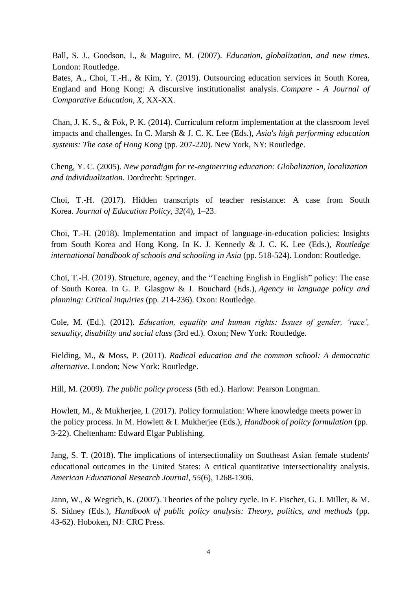Ball, S. J., Goodson, I., & Maguire, M. (2007). *Education, globalization, and new times*. London: Routledge.

Bates, A., Choi, T.-H., & Kim, Y. (2019). Outsourcing education services in South Korea, England and Hong Kong: A discursive institutionalist analysis. *Compare - A Journal of Comparative Education, X*, XX-XX.

Chan, J. K. S., & Fok, P. K. (2014). Curriculum reform implementation at the classroom level impacts and challenges. In C. Marsh & J. C. K. Lee (Eds.), *Asia's high performing education systems: The case of Hong Kong* (pp. 207-220). New York, NY: Routledge.

Cheng, Y. C. (2005). *New paradigm for re-enginerring education: Globalization, localization and individualization.* Dordrecht: Springer.

Choi, T.-H. (2017). Hidden transcripts of teacher resistance: A case from South Korea. *Journal of Education Policy, 32*(4), 1–23.

Choi, T.-H. (2018). Implementation and impact of language-in-education policies: Insights from South Korea and Hong Kong. In K. J. Kennedy & J. C. K. Lee (Eds.), *Routledge international handbook of schools and schooling in Asia* (pp. 518-524). London: Routledge.

Choi, T.-H. (2019). Structure, agency, and the "Teaching English in English" policy: The case of South Korea. In G. P. Glasgow & J. Bouchard (Eds.), *Agency in language policy and planning: Critical inquiries* (pp. 214-236). Oxon: Routledge.

Cole, M. (Ed.). (2012). *Education, equality and human rights: Issues of gender, 'race', sexuality, disability and social class* (3rd ed.). Oxon; New York: Routledge.

Fielding, M., & Moss, P. (2011). *Radical education and the common school: A democratic alternative*. London; New York: Routledge.

Hill, M. (2009). *The public policy process* (5th ed.). Harlow: Pearson Longman.

Howlett, M., & Mukherjee, I. (2017). Policy formulation: Where knowledge meets power in the policy process. In M. Howlett & I. Mukherjee (Eds.), *Handbook of policy formulation* (pp. 3-22). Cheltenham: Edward Elgar Publishing.

Jang, S. T. (2018). The implications of intersectionality on Southeast Asian female students' educational outcomes in the United States: A critical quantitative intersectionality analysis. *American Educational Research Journal*, *55*(6), 1268-1306.

Jann, W., & Wegrich, K. (2007). Theories of the policy cycle. In F. Fischer, G. J. Miller, & M. S. Sidney (Eds.), *Handbook of public policy analysis: Theory, politics, and methods* (pp. 43-62). Hoboken, NJ: CRC Press.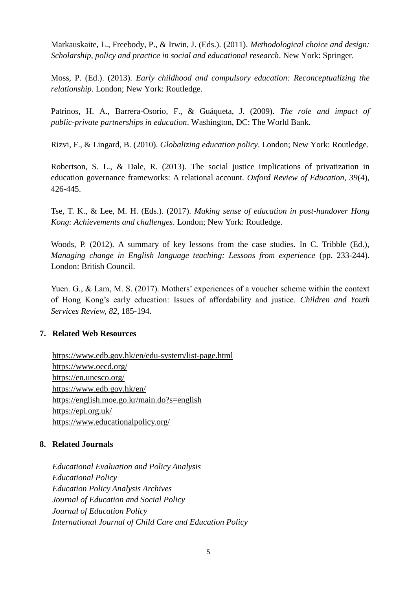Markauskaite, L., Freebody, P., & Irwin, J. (Eds.). (2011). *Methodological choice and design: Scholarship, policy and practice in social and educational research*. New York: Springer.

Moss, P. (Ed.). (2013). *Early childhood and compulsory education: Reconceptualizing the relationship*. London; New York: Routledge.

Patrinos, H. A., Barrera-Osorio, F., & Guáqueta, J. (2009). *The role and impact of public-private partnerships in education*. Washington, DC: The World Bank.

Rizvi, F., & Lingard, B. (2010). *Globalizing education policy*. London; New York: Routledge.

Robertson, S. L., & Dale, R. (2013). The social justice implications of privatization in education governance frameworks: A relational account. *Oxford Review of Education, 39*(4), 426-445.

Tse, T. K., & Lee, M. H. (Eds.). (2017). *Making sense of education in post-handover Hong Kong: Achievements and challenges*. London; New York: Routledge.

Woods, P. (2012). A summary of key lessons from the case studies. In C. Tribble (Ed.), *Managing change in English language teaching: Lessons from experience* (pp. 233-244). London: British Council.

Yuen. G., & Lam, M. S. (2017). Mothers' experiences of a voucher scheme within the context of Hong Kong's early education: Issues of affordability and justice. *Children and Youth Services Review, 82*, 185-194.

### **7. Related Web Resources**

<https://www.edb.gov.hk/en/edu-system/list-page.html> <https://www.oecd.org/> <https://en.unesco.org/> <https://www.edb.gov.hk/en/> <https://english.moe.go.kr/main.do?s=english> <https://epi.org.uk/> <https://www.educationalpolicy.org/>

### **8. Related Journals**

*Educational Evaluation and Policy Analysis Educational Policy Education Policy Analysis Archives Journal of Education and Social Policy Journal of Education Policy International Journal of Child Care and Education Policy*